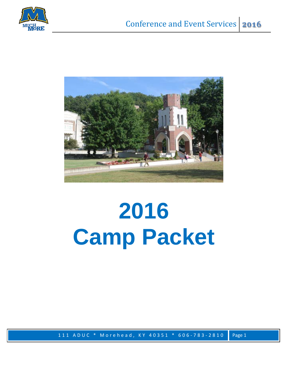



# **2016 Camp Packet**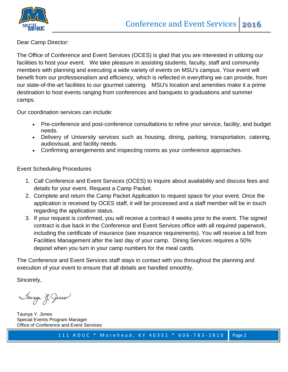



Dear Camp Director:

The Office of Conference and Event Services (OCES) is glad that you are interested in utilizing our facilities to host your event. We take pleasure in assisting students, faculty, staff and community members with planning and executing a wide variety of events on MSU's campus. Your event will benefit from our professionalism and efficiency, which is reflected in everything we can provide, from our state-of-the-art facilities to our gourmet catering. MSU's location and amenities make it a prime destination to host events ranging from conferences and banquets to graduations and summer camps.

Our coordination services can include:

- Pre-conference and post-conference consultations to refine your service, facility, and budget needs.
- Delivery of University services such as housing, dining, parking, transportation, catering, audiovisual, and facility needs.
- Confirming arrangements and inspecting rooms as your conference approaches.

Event Scheduling Procedures

- 1. Call Conference and Event Services (OCES) to inquire about availability and discuss fees and details for your event. Request a Camp Packet.
- 2. Complete and return the Camp Packet Application to request space for your event. Once the application is received by OCES staff, it will be processed and a staff member will be in touch regarding the application status.
- 3. If your request is confirmed, you will receive a contract 4 weeks prior to the event. The signed contract is due back in the Conference and Event Services office with all required paperwork, including the certificate of insurance (see insurance requirements). You will receive a bill from Facilities Management after the last day of your camp. Dining Services requires a 50% deposit when you turn in your camp numbers for the meal cards.

The Conference and Event Services staff stays in contact with you throughout the planning and execution of your event to ensure that all details are handled smoothly.

Sincerely,

Saunya Y. Jones

Taunya Y. Jones Special Events Program Manager Office of Conference and Event Services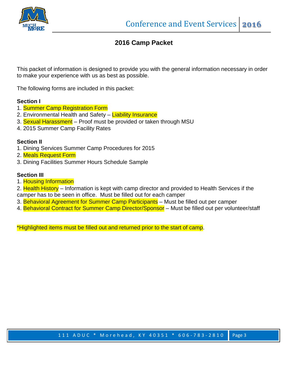

#### **2016 Camp Packet**

This packet of information is designed to provide you with the general information necessary in order to make your experience with us as best as possible.

The following forms are included in this packet:

#### **Section I**

- 1. Summer Camp Registration Form
- 2. Environmental Health and Safety Liability Insurance
- 3. Sexual Harassment Proof must be provided or taken through MSU
- 4. 2015 Summer Camp Facility Rates

#### **Section II**

- 1. Dining Services Summer Camp Procedures for 2015
- 2. Meals Request Form
- 3. Dining Facilities Summer Hours Schedule Sample

#### **Section III**

1. Housing Information

2. Health History – Information is kept with camp director and provided to Health Services if the camper has to be seen in office. Must be filled out for each camper

- 3. Behavioral Agreement for Summer Camp Participants Must be filled out per camper
- 4. Behavioral Contract for Summer Camp Director/Sponsor Must be filled out per volunteer/staff

\*Highlighted items must be filled out and returned prior to the start of camp.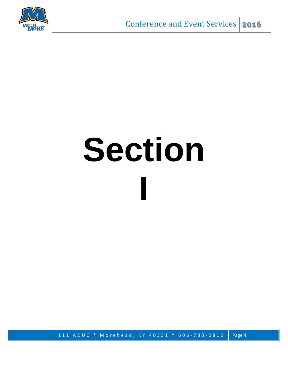

# **Section I**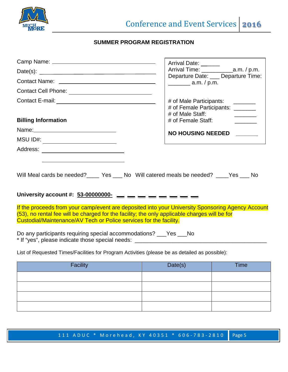

#### **SUMMER PROGRAM REGISTRATION**

|                                                                                                                                                                                                                                                                          | Arrival Date: ______                                  |                                     |
|--------------------------------------------------------------------------------------------------------------------------------------------------------------------------------------------------------------------------------------------------------------------------|-------------------------------------------------------|-------------------------------------|
|                                                                                                                                                                                                                                                                          |                                                       |                                     |
| Contact Name: \[\]                                                                                                                                                                                                                                                       | $\frac{1}{2}$ a.m. / p.m.                             | Departure Date: ___ Departure Time: |
|                                                                                                                                                                                                                                                                          |                                                       |                                     |
|                                                                                                                                                                                                                                                                          | # of Male Participants:                               |                                     |
|                                                                                                                                                                                                                                                                          | # of Female Participants: _______<br># of Male Staff: |                                     |
| <b>Billing Information</b>                                                                                                                                                                                                                                               | # of Female Staff:                                    |                                     |
|                                                                                                                                                                                                                                                                          |                                                       | <b>NO HOUSING NEEDED</b>            |
| MSU ID#: ________________________                                                                                                                                                                                                                                        |                                                       |                                     |
|                                                                                                                                                                                                                                                                          |                                                       |                                     |
| Will Meal cards be needed?_____ Yes ___ No Will catered meals be needed? ____Yes ___ No<br>University account #: $53-00000000$ - - - - - - - - -                                                                                                                         |                                                       |                                     |
| If the proceeds from your camp/event are deposited into your University Sponsoring Agency Account<br>(53), no rental fee will be charged for the facility; the only applicable charges will be for<br>Custodial/Maintenance/AV Tech or Police services for the facility. |                                                       |                                     |
| Do any participants requiring special accommodations? ___Yes ___No<br>* If "yes", please indicate those special needs: _______________________________                                                                                                                   |                                                       |                                     |
| List of Requested Times/Facilities for Program Activities (please be as detailed as possible):                                                                                                                                                                           |                                                       |                                     |
| <b>Facility</b>                                                                                                                                                                                                                                                          | Date(s)                                               | <b>Time</b>                         |

| Facility | Date(s) | <b>Time</b> |
|----------|---------|-------------|
|          |         |             |
|          |         |             |
|          |         |             |
|          |         |             |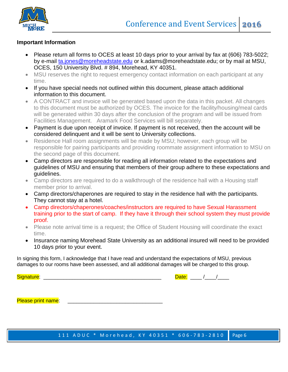

#### **Important Information**

- Please return all forms to OCES at least 10 days prior to your arrival by fax at (606) 783-5022; by e-mail [ta.jones@moreheadstate.edu](mailto:ta.jones@moreheadstate.edu) or k.adams@moreheadstate.edu; or by mail at MSU, OCES, 150 University Blvd. # 894, Morehead, KY 40351.
- MSU reserves the right to request emergency contact information on each participant at any time.
- If you have special needs not outlined within this document, please attach additional information to this document.
- A CONTRACT and invoice will be generated based upon the data in this packet. All changes to this document must be authorized by OCES. The invoice for the facility/housing/meal cards will be generated within 30 days after the conclusion of the program and will be issued from Facilities Management. Aramark Food Services will bill separately.
- Payment is due upon receipt of invoice. If payment is not received, then the account will be considered delinquent and it will be sent to University collections.
- Residence Hall room assignments will be made by MSU; however, each group will be responsible for pairing participants and providing roommate assignment information to MSU on the second page of this document.
- Camp directors are responsible for reading all information related to the expectations and guidelines of MSU and ensuring that members of their group adhere to these expectations and guidelines.
- Camp directors are required to do a walkthrough of the residence hall with a Housing staff member prior to arrival.
- Camp directors/chaperones are required to stay in the residence hall with the participants. They cannot stay at a hotel.
- Camp directors/chaperones/coaches/instructors are required to have Sexual Harassment training prior to the start of camp. If they have it through their school system they must provide proof.
- Please note arrival time is a request; the Office of Student Housing will coordinate the exact time.
- Insurance naming Morehead State University as an additional insured will need to be provided 10 days prior to your event.

In signing this form, I acknowledge that I have read and understand the expectations of MSU, previous damages to our rooms have been assessed, and all additional damages will be charged to this group.

Signature: \_\_\_\_\_\_\_\_\_\_\_\_\_\_\_\_\_\_\_\_\_\_\_\_\_\_\_\_\_\_\_\_\_\_\_\_\_\_\_\_\_ Date: \_\_\_\_ /\_\_\_\_/\_\_\_\_

Please print name: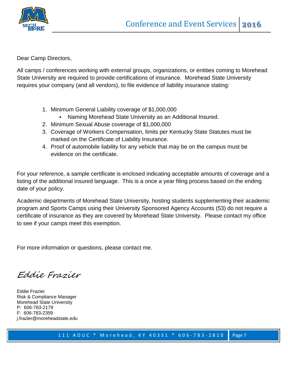

Dear Camp Directors,

All camps / conferences working with external groups, organizations, or entities coming to Morehead State University are required to provide certifications of insurance. Morehead State University requires your company (and all vendors), to file evidence of liability insurance stating:

- 1. Minimum General Liability coverage of \$1,000,000
	- Naming Morehead State University as an Additional Insured.
- 2. Minimum Sexual Abuse coverage of \$1,000,000
- 3. Coverage of Workers Compensation, limits per Kentucky State Statutes must be marked on the Certificate of Liability Insurance.
- 4. Proof of automobile liability for any vehicle that may be on the campus must be evidence on the certificate.

For your reference, a sample certificate is enclosed indicating acceptable amounts of coverage and a listing of the additional insured language. This is a once a year filing process based on the ending date of your policy.

Academic departments of Morehead State University, hosting students supplementing their academic program and Sports Camps using their University Sponsored Agency Accounts (53) do not require a certificate of insurance as they are covered by Morehead State University. Please contact my office to see if your camps meet this exemption.

For more information or questions, please contact me.

Eddie Frazier

Eddie Frazier Risk & Compliance Manager Morehead State University P: 606-783-2179 F: 606-783-2359 j.frazier@moreheadstate.edu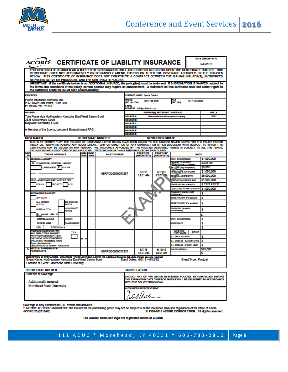

| <b>ACORD®</b>                                                                                                                                                                                                                                                                                                                                                                                                                                                                                      |             |                         | <b>CERTIFICATE OF LIABILITY INSURANCE</b> |                                      |                                      |                                      |                                                         |                             | DATE (MM/DD/YYYY)<br>3/30/2015                                                                                                        |
|----------------------------------------------------------------------------------------------------------------------------------------------------------------------------------------------------------------------------------------------------------------------------------------------------------------------------------------------------------------------------------------------------------------------------------------------------------------------------------------------------|-------------|-------------------------|-------------------------------------------|--------------------------------------|--------------------------------------|--------------------------------------|---------------------------------------------------------|-----------------------------|---------------------------------------------------------------------------------------------------------------------------------------|
| THIS CERTIFICATE IS ISSUED AS A MATTER OF INFORMATION ONLY AND CONFERS NO RIGHTS UPON THE CERTIFICATE HOLDER. THIS<br>CERTIFICATE DOES NOT AFFIRMATIVELY OR NEGATIVELY AMEND, EXTEND OR ALTER THE COVERAGE AFFORDED BY THE POLICIES<br>BELOW. THIS CERTIFICATE OF INSURANCE DOES NOT CONSTITUTE A CONTRACT BETWEEN THE ISSUING INSURER(S), AUTHORIZED<br><b>REPRESENTATIVE OR PRODUCER. AND THE CERTIFICATE HOLDER.</b>                                                                            |             |                         |                                           |                                      |                                      |                                      |                                                         |                             |                                                                                                                                       |
| IMPORTANT: If the certificate holder is an ADDITIONAL INSURED, the policy(les) must be endorsed. If SUBROGATION IS WAIVED, subject to<br>the terms and conditions of the policy, certain policies may require an endorsement. A statement on this certificate does not confer rights to<br>the certificate holder in lieu of such endorsement(s).                                                                                                                                                  |             |                         |                                           |                                      |                                      |                                      |                                                         |                             |                                                                                                                                       |
| <b>PRODUCER</b>                                                                                                                                                                                                                                                                                                                                                                                                                                                                                    |             |                         |                                           |                                      | <b>CONTACT NAME: Sports Division</b> |                                      |                                                         |                             |                                                                                                                                       |
| Pullen Insurance Services, Inc.                                                                                                                                                                                                                                                                                                                                                                                                                                                                    |             |                         |                                           | <b>HIONE</b>                         | $(817) 738-8100$                     |                                      | FAX<br>A/C, No):                                        | $(817)$ 738-2993            |                                                                                                                                       |
| 2560 River Park Plaza, Suite 300<br>Ft. Worth, TX 76116                                                                                                                                                                                                                                                                                                                                                                                                                                            |             |                         |                                           | A/C, No. Ext):<br><b>MAIL</b>        | ADDRESS: info@pullenins.com          |                                      |                                                         |                             |                                                                                                                                       |
| <b>NSURED</b>                                                                                                                                                                                                                                                                                                                                                                                                                                                                                      |             |                         |                                           |                                      |                                      | <b>INSURER(S) AFFORDING COVERAGE</b> |                                                         |                             | <b>NAIC #</b>                                                                                                                         |
| Tom Posey dba Northeastern Kentucky East/West Senior Bowl<br>2336 Cottonwood Court                                                                                                                                                                                                                                                                                                                                                                                                                 |             |                         |                                           | <b>NSURER A:</b>                     |                                      | Nationwide Mutual Insurance Company  |                                                         |                             | 23787                                                                                                                                 |
| Maysville, Kentucky 41056                                                                                                                                                                                                                                                                                                                                                                                                                                                                          |             |                         |                                           | <b>NSURER B:</b><br><b>NSURER C:</b> |                                      |                                      |                                                         |                             |                                                                                                                                       |
|                                                                                                                                                                                                                                                                                                                                                                                                                                                                                                    |             |                         |                                           | <b>NSURER D:</b>                     |                                      |                                      |                                                         |                             |                                                                                                                                       |
| A Member of the Sports, Leisure & Entertainment RPG                                                                                                                                                                                                                                                                                                                                                                                                                                                |             |                         |                                           | <b>NSURER E:</b>                     |                                      |                                      |                                                         |                             |                                                                                                                                       |
|                                                                                                                                                                                                                                                                                                                                                                                                                                                                                                    |             |                         |                                           | <b>NSURER F:</b>                     |                                      |                                      |                                                         |                             |                                                                                                                                       |
| <b>COVERAGES</b>                                                                                                                                                                                                                                                                                                                                                                                                                                                                                   |             |                         | <b>CERTIFICATE NUMBER:</b>                |                                      |                                      | <b>REVISION NUMBER:</b>              |                                                         |                             |                                                                                                                                       |
| THIS IS TO CERTIFY THAT THE POLICIES OF INSURANCE LISTED BELOW HAVE BEEN ISSUED TO THE INSURED NAMED ABOVE FOR THE POLICY PERIOD<br>INDICATED. NOTWITHSTANDING ANY REQUIREMENT, TERM OR CONDITION OF ANY CONTRACT OR OTHER DOCUMENT WITH RESPECT TO WHICH THIS<br>CERTIFICATE MAY BE ISSUED OR MAY PERTAIN, THE INSURANCE AFFORDED BY THE POLICIES DESCRIBED HEREIN IS SUBJECT TO ALL THE TERMS,<br>EXCLUSIONS AND CONDITIONS OF SUCH POLICIES. LIMITS SHOWN MAY HAVE BEEN REDUCED BY PAID CLAIMS. |             |                         |                                           |                                      |                                      |                                      |                                                         |                             |                                                                                                                                       |
| NSI<br><b>TYPE OF INSURANCE</b><br>LTR                                                                                                                                                                                                                                                                                                                                                                                                                                                             | <b>INSR</b> | ADDL SUBR<br><b>WVD</b> | <b>POLICY NUMBER</b>                      |                                      | <b>POLICY EFF</b>                    | <b>POLICY EXP</b><br>(MM/DD/YYYY)    |                                                         | <b>LIMITS</b>               |                                                                                                                                       |
| <b>GENERAL LIABILITY</b><br>A                                                                                                                                                                                                                                                                                                                                                                                                                                                                      |             |                         |                                           |                                      | (MM/DD/YYYY)                         |                                      | <b>EACH OCCURRENCE</b>                                  |                             | \$1,000,000                                                                                                                           |
| COMMERCIAL GENERAL LIABILITY<br>x                                                                                                                                                                                                                                                                                                                                                                                                                                                                  |             |                         |                                           |                                      |                                      |                                      | <b>DAY WHE TO RENTED</b><br><b>ZMISES (Ex occurrent</b> |                             | \$300,000                                                                                                                             |
| LAIMS-MADE X OCCUR                                                                                                                                                                                                                                                                                                                                                                                                                                                                                 |             |                         |                                           |                                      |                                      |                                      | VED / xP (Any one person)                               |                             | \$5,000                                                                                                                               |
|                                                                                                                                                                                                                                                                                                                                                                                                                                                                                                    |             |                         |                                           |                                      | 6/7/15                               | 6/13/15                              | PL NON", & ADV INJURY                                   |                             | \$1,000,000                                                                                                                           |
|                                                                                                                                                                                                                                                                                                                                                                                                                                                                                                    |             |                         | 6BRPG00000057257                          |                                      | 1201 AM                              | 1201.W                               | <b>GENERAL AGGREGATE</b>                                |                             | \$5.000.000                                                                                                                           |
| GENTL AGGREGATE LIMIT APPLIES PER:                                                                                                                                                                                                                                                                                                                                                                                                                                                                 |             |                         |                                           |                                      |                                      |                                      | <b>CODUCTS-COMPIOP AGG</b>                              |                             | \$1,000,000                                                                                                                           |
| <b>POLICY</b><br><b>ROJECT</b><br>œ                                                                                                                                                                                                                                                                                                                                                                                                                                                                |             |                         |                                           |                                      |                                      |                                      | PROFESSIONAL LIABILITY                                  |                             | <b>S EXCLUDED</b>                                                                                                                     |
|                                                                                                                                                                                                                                                                                                                                                                                                                                                                                                    |             |                         |                                           |                                      |                                      |                                      | <b>LEGAL LIAB TO PARTICIPANTS</b>                       |                             | \$1,000,000                                                                                                                           |
| <b>AUTOMOBILE LIABILITY</b>                                                                                                                                                                                                                                                                                                                                                                                                                                                                        |             |                         |                                           |                                      |                                      |                                      | <b>DOMBINED SINGLE LIMIT</b><br>(Es Accident)           |                             |                                                                                                                                       |
| <b>MY AUTO</b>                                                                                                                                                                                                                                                                                                                                                                                                                                                                                     |             |                         |                                           |                                      |                                      |                                      | BODLY INJURY (Per person)                               |                             | s                                                                                                                                     |
| <b>ALL OWNED</b><br><b>SCHEDULED</b><br><b>AUTOS</b><br><b>AUTOS</b>                                                                                                                                                                                                                                                                                                                                                                                                                               |             |                         |                                           |                                      |                                      |                                      | BODLY INJURY (Per socident)                             |                             | s                                                                                                                                     |
| <b>NON-OWNED</b><br><b>HIRED AUTOS</b><br><b>AUTOS</b>                                                                                                                                                                                                                                                                                                                                                                                                                                             |             |                         |                                           |                                      |                                      |                                      | PROPERTY DAMAGE<br>(Per socident)                       |                             | s                                                                                                                                     |
| Not provided while                                                                                                                                                                                                                                                                                                                                                                                                                                                                                 |             |                         |                                           |                                      |                                      |                                      |                                                         |                             |                                                                                                                                       |
| <b>UMBRELLA LIAB</b><br><b>DCCUR</b>                                                                                                                                                                                                                                                                                                                                                                                                                                                               |             |                         |                                           |                                      |                                      |                                      | <b>EACH OCCURRENCE</b>                                  |                             | 5                                                                                                                                     |
| <b>EXCESS LIAB</b><br><b>LAIMS-MADE</b>                                                                                                                                                                                                                                                                                                                                                                                                                                                            |             |                         |                                           |                                      |                                      |                                      | <b>AGGREGATE</b>                                        |                             | 5                                                                                                                                     |
| <b>DED</b><br><b>RETENTION \$</b><br><b><i>NORKERS COMPENSATION</i></b>                                                                                                                                                                                                                                                                                                                                                                                                                            |             |                         |                                           |                                      |                                      |                                      | <b>WC STATU-</b>                                        |                             | s                                                                                                                                     |
| <b>Y/N</b><br>AND EMPLOYERS' LIABLITY<br><b>ANY PROPRIET ORPARTNER!</b>                                                                                                                                                                                                                                                                                                                                                                                                                            |             |                         |                                           |                                      |                                      |                                      | <b>TORY LIMITS</b>                                      | <b>OTHER</b>                |                                                                                                                                       |
| <b>EXECUTIVE OFFICERMEMBER</b>                                                                                                                                                                                                                                                                                                                                                                                                                                                                     | NIA         |                         |                                           |                                      |                                      |                                      | <b>E.L. EACH ACCIDENT</b>                               |                             | s                                                                                                                                     |
| EXCLUDED? (Mandatory in NH)<br>If yes, describe under                                                                                                                                                                                                                                                                                                                                                                                                                                              |             |                         |                                           |                                      |                                      |                                      | <b>E.L. DISEASE - EA EMPLOYEE</b>                       |                             | s                                                                                                                                     |
| DESCRIPTION OF OPERATIONS below<br><b>NEDICAL PAYMENTS FOR</b>                                                                                                                                                                                                                                                                                                                                                                                                                                     |             |                         |                                           |                                      |                                      |                                      | <b>E.L. DISEASE - POLICY LIMIT</b>                      |                             | s                                                                                                                                     |
| A<br><b>ARTICPANTS</b>                                                                                                                                                                                                                                                                                                                                                                                                                                                                             |             |                         | 6BRPG00000057257                          |                                      | 6/7/15<br>12:01 AM                   | 6/13/15<br>12:01 AM                  | <b>EXCESS MEDICAL</b>                                   |                             | \$25,000                                                                                                                              |
| DESCRIPTION OF OPERATIONS / LOCATIONS / VEHICLES (Attach ACORD 101, Additional Remarks Schedule, if more space is required)<br>Event Name: Northeastern Kentucky East-West Senior Bowl<br>Location of Event: Morehead State University                                                                                                                                                                                                                                                             |             |                         |                                           |                                      | Event Dates: 6/7/15 - 6/12/15        |                                      |                                                         | <b>Event Type: Football</b> |                                                                                                                                       |
| <b>CERTIFICATE HOLDER</b>                                                                                                                                                                                                                                                                                                                                                                                                                                                                          |             |                         |                                           |                                      | CANCELLATION                         |                                      |                                                         |                             |                                                                                                                                       |
| <b>Evidence of Coverage</b>                                                                                                                                                                                                                                                                                                                                                                                                                                                                        |             |                         |                                           |                                      |                                      |                                      |                                                         |                             | SHOULD ANY OF THE ABOVE DESCRIBED POLICIES BE CANCELLED BEFORE<br>THE EXPIRATION DATE THEREOF, NOTICE WILL BE DELIVERED IN ACCORDANCE |
| <b>Additionally insured:</b>                                                                                                                                                                                                                                                                                                                                                                                                                                                                       |             |                         |                                           |                                      | WITH THE POLICY PROVISIONS.          |                                      |                                                         |                             |                                                                                                                                       |
| <b>Morehead State University</b><br><b>AUTHORIZED REPRESENTATIVE</b><br>lation Diele                                                                                                                                                                                                                                                                                                                                                                                                               |             |                         |                                           |                                      |                                      |                                      |                                                         |                             |                                                                                                                                       |

Coverage is only extended to U.S. events and activities.<br>\*\* NOTICE TO TEXAS INSUREDS: The insurer for the purchasing group may not be subject to all the insurance laws and regulations of the State of Texas.<br>ACORD 25 (2010/

The ACORD name and logo are registered marks of ACORD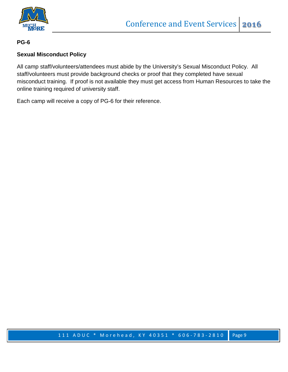

**PG-6**

#### **Sexual Misconduct Policy**

All camp staff/volunteers/attendees must abide by the University's Sexual Misconduct Policy. All staff/volunteers must provide background checks or proof that they completed have sexual misconduct training. If proof is not available they must get access from Human Resources to take the online training required of university staff.

Each camp will receive a copy of PG-6 for their reference.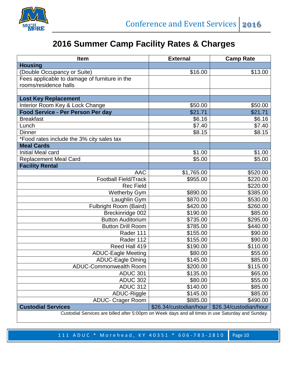

# **2016 Summer Camp Facility Rates & Charges**

| <b>Item</b>                                                                                       | <b>External</b>        | <b>Camp Rate</b>       |
|---------------------------------------------------------------------------------------------------|------------------------|------------------------|
| <b>Housing</b>                                                                                    |                        |                        |
| (Double Occupancy or Suite)                                                                       | \$16.00                | \$13.00                |
| Fees applicable to damage of furniture in the                                                     |                        |                        |
| rooms/residence halls                                                                             |                        |                        |
|                                                                                                   |                        |                        |
| <b>Lost Key Replacement</b>                                                                       |                        |                        |
| Interior Room Key & Lock Change                                                                   | \$50.00                | \$50.00                |
| Food Service - Per Person Per day                                                                 | \$21.71                | \$21.71                |
| <b>Breakfast</b>                                                                                  | \$6.16                 | \$6.16                 |
| Lunch                                                                                             | \$7.40                 | \$7.40                 |
| <b>Dinner</b>                                                                                     | \$8.15                 | \$8.15                 |
| *Food rates include the 3% city sales tax                                                         |                        |                        |
| <b>Meal Cards</b>                                                                                 |                        |                        |
| Initial Meal card                                                                                 | \$1.00                 | \$1.00                 |
| <b>Replacement Meal Card</b>                                                                      | \$5.00                 | \$5.00                 |
| <b>Facility Rental</b>                                                                            |                        |                        |
| <b>AAC</b>                                                                                        | \$1,765.00             | \$520.00               |
| <b>Football Field/Track</b>                                                                       | \$955.00               | \$220.00               |
| <b>Rec Field</b>                                                                                  |                        | \$220.00               |
| <b>Wetherby Gym</b>                                                                               | \$890.00               | \$385.00               |
| Laughlin Gym                                                                                      | \$870.00               | \$530.00               |
| Fulbright Room (Baird)                                                                            | \$420.00               | \$260.00               |
| Breckinridge 002                                                                                  | \$190.00               | \$85.00                |
| <b>Button Auditorium</b>                                                                          | \$735.00               | \$295.00               |
| <b>Button Drill Room</b>                                                                          | \$785.00               | \$440.00               |
| Rader 111                                                                                         | \$155.00               | \$90.00                |
| Rader 112                                                                                         | \$155.00               | \$90.00                |
| Reed Hall 419                                                                                     | \$190.00               | \$110.00               |
| <b>ADUC-Eagle Meeting</b>                                                                         | \$80.00                | \$55.00                |
| <b>ADUC-Eagle Dining</b>                                                                          | \$145.00               | \$85.00                |
| ADUC-Commonwealth Room                                                                            | \$200.00               | \$115.00               |
| <b>ADUC 301</b>                                                                                   | \$135.00               | \$65.00                |
| <b>ADUC 302</b>                                                                                   | \$80.00                | \$55.00                |
| <b>ADUC 312</b>                                                                                   | \$140.00               | \$85.00                |
| ADUC-Riggle                                                                                       | \$145.00               | \$85.00                |
| <b>ADUC- Crager Room</b>                                                                          | \$885.00               | \$490.00               |
| <b>Custodial Services</b>                                                                         | \$26.34/custodian/hour | \$26.34/custodian/hour |
| Custodial Services are billed after 5:00pm on Week days and all times in use Saturday and Sunday. |                        |                        |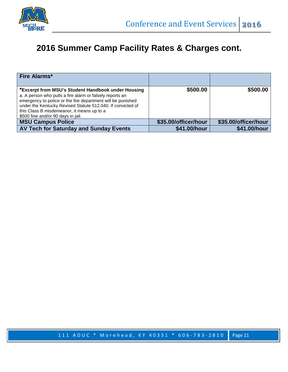

# **2016 Summer Camp Facility Rates & Charges cont.**

| <b>Fire Alarms*</b>                                                                                                                                                                                                                                                                                                              |                      |                      |
|----------------------------------------------------------------------------------------------------------------------------------------------------------------------------------------------------------------------------------------------------------------------------------------------------------------------------------|----------------------|----------------------|
| *Excerpt from MSU's Student Handbook under Housing<br>a. A person who pulls a fire alarm or falsely reports an<br>emergency to police or the fire department will be punished<br>under the Kentucky Revised Statute 512.040. If convicted of<br>this Class B misdemeanor, it means up to a<br>\$500 fine and/or 90 days in jail. | \$500.00             | \$500.00             |
| <b>MSU Campus Police</b>                                                                                                                                                                                                                                                                                                         | \$35.00/officer/hour | \$35.00/officer/hour |
| AV Tech for Saturday and Sunday Events                                                                                                                                                                                                                                                                                           | \$41.00/hour         | \$41.00/hour         |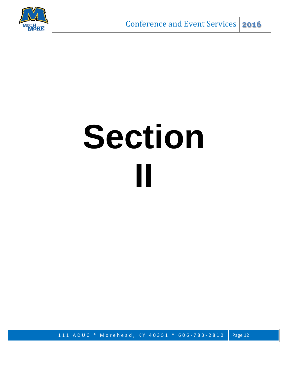

# **Section II**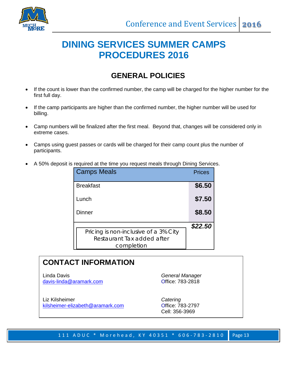

# **DINING SERVICES SUMMER CAMPS PROCEDURES 2016**

### **GENERAL POLICIES**

- If the count is lower than the confirmed number, the camp will be charged for the higher number for the first full day.
- If the camp participants are higher than the confirmed number, the higher number will be used for billing.
- Camp numbers will be finalized after the first meal. Beyond that, changes will be considered only in extreme cases.
- Camps using guest passes or cards will be charged for their camp count plus the number of participants.
- A 50% deposit is required at the time you request meals through Dining Services.

| <b>Camps Meals</b>                                                                | <b>Prices</b> |
|-----------------------------------------------------------------------------------|---------------|
| <b>Breakfast</b>                                                                  | \$6.50        |
| Lunch                                                                             | \$7.50        |
| Dinner                                                                            | \$8.50        |
| Pricing is non-inclusive of a 3% City<br>Restaurant Tax added after<br>completion | \$22.50       |

### **CONTACT INFORMATION**

Linda Davis *General Manager* [davis-linda@aramark.com](mailto:davis-linda@aramark.com)

Liz Kilsheimer *Catering*  [kilsheimer-elizabeth@aramark.com](mailto:kilsheimer-elizabeth@aramark.com)

Cell: 356-3969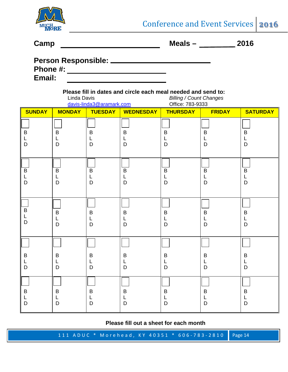

**Camp Meals – 2016**

|          | <b>Person Responsible:</b> |  |
|----------|----------------------------|--|
| Phone #: |                            |  |

**Email:**

#### **Please fill in dates and circle each meal needed and send to:** Linda Davis *Billing / Count Changes*

|                                     |                          | davis-linda3@aramark.com          |                              | Office: 783-9333                                 |                                   |                                   |
|-------------------------------------|--------------------------|-----------------------------------|------------------------------|--------------------------------------------------|-----------------------------------|-----------------------------------|
| <b>SUNDAY</b>                       | <b>MONDAY</b>            | <b>TUESDAY</b>                    | <b>WEDNESDAY</b>             | <b>THURSDAY</b>                                  | <b>FRIDAY</b>                     | <b>SATURDAY</b>                   |
| $\sf B$<br>L<br>D                   | $\sf B$<br>D             | $\sf B$<br>L<br>$\mathsf D$       | $\sf B$<br>L<br>D            | $\sf B$<br>L<br>D                                | $\sf B$<br>L<br>$\mathsf D$       | $\sf B$<br>L<br>$\mathsf D$       |
| $\overline{B}$<br>L<br>$\mathsf{D}$ | $\overline{B}$<br>L<br>D | $\overline{\mathsf{B}}$<br>L<br>D | $\overline{B}$<br>L<br>D     | $\overline{B}$<br>$\mathsf{L}$<br>$\overline{D}$ | $\overline{\mathsf{B}}$<br>L<br>D | $\overline{\mathsf{B}}$<br>L<br>D |
| $\sf B$<br>L<br>$\mathsf{D}$        | $\sf B$<br>D             | $\sf B$<br>L<br>D                 | $\sf B$<br>L<br>D            | $\sf B$<br>L<br>$\overline{D}$                   | $\sf B$<br>L<br>$\mathsf D$       | $\sf B$<br>L<br>$\mathsf D$       |
|                                     |                          |                                   |                              |                                                  |                                   |                                   |
| B<br>$\mathsf{L}$<br>D              | $\mathsf B$<br>D         | $\sf B$<br>L<br>D                 | $\sf B$<br>L<br>$\mathsf{D}$ | $\sf B$<br>L<br>D                                | $\sf B$<br>L<br>D                 | $\sf B$<br>L<br>$\mathsf D$       |
| $\sf B$<br>L<br>D                   | $\sf B$<br>D             | $\sf B$<br>L<br>D                 | $\sf B$<br>L<br>D            | $\sf B$<br>L<br>D                                | B<br>L<br>D                       | $\sf B$<br>L<br>$\mathsf D$       |

**Please fill out a sheet for each month**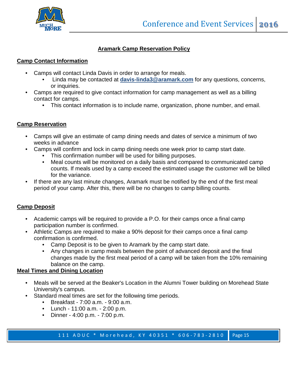

#### **Aramark Camp Reservation Policy**

#### **Camp Contact Information**

- Camps will contact Linda Davis in order to arrange for meals.
	- Linda may be contacted at **davis-linda3@aramark.com** for any questions, concerns, or inquiries.
- Camps are required to give contact information for camp management as well as a billing contact for camps.
	- This contact information is to include name, organization, phone number, and email.

#### **Camp Reservation**

- Camps will give an estimate of camp dining needs and dates of service a minimum of two weeks in advance
- Camps will confirm and lock in camp dining needs one week prior to camp start date.
	- This confirmation number will be used for billing purposes.
	- Meal counts will be monitored on a daily basis and compared to communicated camp counts. If meals used by a camp exceed the estimated usage the customer will be billed for the variance.
- If there are any last minute changes, Aramark must be notified by the end of the first meal period of your camp. After this, there will be no changes to camp billing counts.

#### **Camp Deposit**

- Academic camps will be required to provide a P.O. for their camps once a final camp participation number is confirmed.
- Athletic Camps are required to make a 90% deposit for their camps once a final camp confirmation is confirmed.
	- Camp Deposit is to be given to Aramark by the camp start date.
	- Any changes in camp meals between the point of advanced deposit and the final changes made by the first meal period of a camp will be taken from the 10% remaining balance on the camp.

#### **Meal Times and Dining Location**

- Meals will be served at the Beaker's Location in the Alumni Tower building on Morehead State University's campus.
- Standard meal times are set for the following time periods.
	- Breakfast 7:00 a.m. 9:00 a.m.
	- Lunch 11:00 a.m. 2:00 p.m.
	- Dinner 4:00 p.m. 7:00 p.m.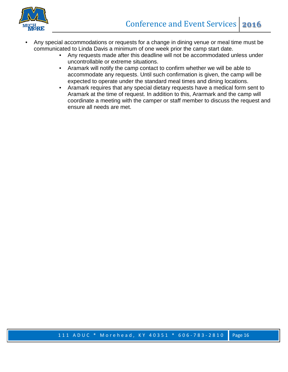

- Any special accommodations or requests for a change in dining venue or meal time must be communicated to Linda Davis a minimum of one week prior the camp start date.
	- Any requests made after this deadline will not be accommodated unless under uncontrollable or extreme situations.
	- Aramark will notify the camp contact to confirm whether we will be able to accommodate any requests. Until such confirmation is given, the camp will be expected to operate under the standard meal times and dining locations.
	- Aramark requires that any special dietary requests have a medical form sent to Aramark at the time of request. In addition to this, Ararmark and the camp will coordinate a meeting with the camper or staff member to discuss the request and ensure all needs are met.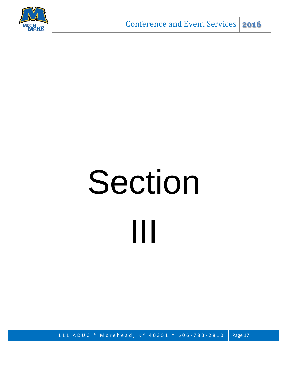

# Section III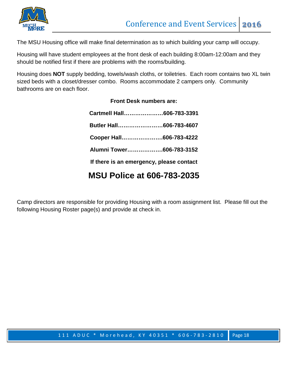

The MSU Housing office will make final determination as to which building your camp will occupy.

Housing will have student employees at the front desk of each building 8:00am-12:00am and they should be notified first if there are problems with the rooms/building.

Housing does **NOT** supply bedding, towels/wash cloths, or toiletries. Each room contains two XL twin sized beds with a closet/dresser combo. Rooms accommodate 2 campers only. Community bathrooms are on each floor.

**Front Desk numbers are:**

| Cartmell Hall606-783-3391                |  |
|------------------------------------------|--|
| Butler Hall606-783-4607                  |  |
| Cooper Hall606-783-4222                  |  |
| Alumni Tower606-783-3152                 |  |
| If there is an emergency, please contact |  |
|                                          |  |

### **MSU Police at 606-783-2035**

Camp directors are responsible for providing Housing with a room assignment list. Please fill out the following Housing Roster page(s) and provide at check in.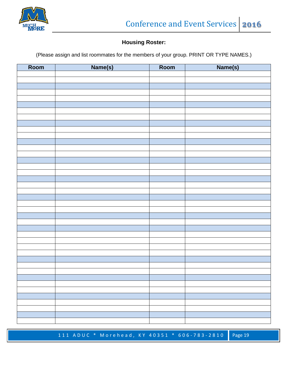

#### **Housing Roster:**

(Please assign and list roommates for the members of your group. PRINT OR TYPE NAMES.)

| Room | Name(s) | Room | Name(s) |
|------|---------|------|---------|
|      |         |      |         |
|      |         |      |         |
|      |         |      |         |
|      |         |      |         |
|      |         |      |         |
|      |         |      |         |
|      |         |      |         |
|      |         |      |         |
|      |         |      |         |
|      |         |      |         |
|      |         |      |         |
|      |         |      |         |
|      |         |      |         |
|      |         |      |         |
|      |         |      |         |
|      |         |      |         |
|      |         |      |         |
|      |         |      |         |
|      |         |      |         |
|      |         |      |         |
|      |         |      |         |
|      |         |      |         |
|      |         |      |         |
|      |         |      |         |
|      |         |      |         |
|      |         |      |         |
|      |         |      |         |
|      |         |      |         |
|      |         |      |         |
|      |         |      |         |
|      |         |      |         |
|      |         |      |         |
|      |         |      |         |
|      |         |      |         |
|      |         |      |         |
|      |         |      |         |
|      |         |      |         |
|      |         |      |         |
|      |         |      |         |
|      |         |      |         |
|      |         |      |         |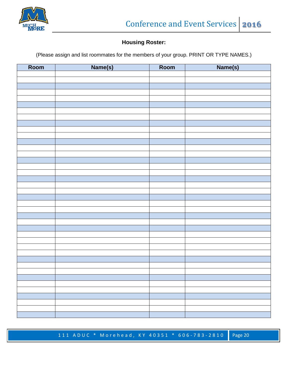

#### **Housing Roster:**

(Please assign and list roommates for the members of your group. PRINT OR TYPE NAMES.)

| Room | Name(s) | Room | Name(s) |
|------|---------|------|---------|
|      |         |      |         |
|      |         |      |         |
|      |         |      |         |
|      |         |      |         |
|      |         |      |         |
|      |         |      |         |
|      |         |      |         |
|      |         |      |         |
|      |         |      |         |
|      |         |      |         |
|      |         |      |         |
|      |         |      |         |
|      |         |      |         |
|      |         |      |         |
|      |         |      |         |
|      |         |      |         |
|      |         |      |         |
|      |         |      |         |
|      |         |      |         |
|      |         |      |         |
|      |         |      |         |
|      |         |      |         |
|      |         |      |         |
|      |         |      |         |
|      |         |      |         |
|      |         |      |         |
|      |         |      |         |
|      |         |      |         |
|      |         |      |         |
|      |         |      |         |
|      |         |      |         |
|      |         |      |         |
|      |         |      |         |
|      |         |      |         |
|      |         |      |         |
|      |         |      |         |
|      |         |      |         |
|      |         |      |         |
|      |         |      |         |
|      |         |      |         |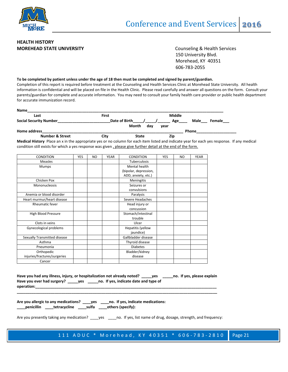

#### **HEALTH HISTORY MOREHEAD STATE UNIVERSITY COUNSELIGE ASSAULT ASSAULT** Counseling & Health Services

 150 University Blvd. Morehead, KY 40351 606-783-2055

#### **To be completed by patient unless under the age of 18 then must be completed and signed by parent/guardian.**

Completion of this report is required before treatment at the Counseling and Health Services Clinic at Morehead State University. All health information is confidential and will be placed on file in the Health Clinic. Please read carefully and answer all questions on the form. Consult your parents/guardian for complete and accurate information. You may need to consult your family health care provider or public health department for accurate immunization record.

| Name                          |              |                               |             |                |
|-------------------------------|--------------|-------------------------------|-------------|----------------|
| Last                          | <b>First</b> |                               | Middle      |                |
| <b>Social Security Number</b> |              | Date of Birth<br>Month<br>dav | Age<br>vear | Male<br>Female |
| Home address                  |              |                               |             | <b>Phone</b>   |
| <b>Number &amp; Street</b>    | Citv         | State                         | Zip         |                |

**Medical History** Place an x in the appropriate yes or no column for each item listed and indicate year for each yes response. If any medical condition still exists for which a yes response was given , please give further detail at the end of the form.

| <b>CONDITION</b>             | <b>YES</b> | NO | <b>YEAR</b> | <b>CONDITION</b>      | <b>YES</b> | N <sub>O</sub> | <b>YEAR</b> |
|------------------------------|------------|----|-------------|-----------------------|------------|----------------|-------------|
| <b>Measles</b>               |            |    |             | <b>Tuberculosis</b>   |            |                |             |
| <b>Mumps</b>                 |            |    |             | Mental health         |            |                |             |
|                              |            |    |             | (bipolar, depression, |            |                |             |
|                              |            |    |             | ADD, anxiety, etc.)   |            |                |             |
| Chicken Pox                  |            |    |             | Meningitis            |            |                |             |
| Mononucleosis                |            |    |             | Seizures or           |            |                |             |
|                              |            |    |             | convulsions           |            |                |             |
| Anemia or blood disorder     |            |    |             | Paralysis             |            |                |             |
| Heart murmur/heart disease   |            |    |             | Severe Headaches      |            |                |             |
| <b>Rheumatic fever</b>       |            |    |             | Head injury or        |            |                |             |
|                              |            |    |             | concussion            |            |                |             |
| High Blood Pressure          |            |    |             | Stomach/intestinal    |            |                |             |
|                              |            |    |             | trouble               |            |                |             |
| Clots in veins               |            |    |             | Ulcer                 |            |                |             |
| Gynecological problems       |            |    |             | Hepatitis (yellow     |            |                |             |
|                              |            |    |             | jaundice)             |            |                |             |
| Sexually Transmitted disease |            |    |             | Gallbladder disease   |            |                |             |
| Asthma                       |            |    |             | Thyroid disease       |            |                |             |
| Pneumonia                    |            |    |             | <b>Diabetes</b>       |            |                |             |
| Orthopedic                   |            |    |             | Bladder/kidney        |            |                |             |
| injuries/fractures/surgeries |            |    |             | disease               |            |                |             |
| Cancer                       |            |    |             |                       |            |                |             |

| Have you had any illness, injury, or hospitalization not already noted? | <b>ves</b> | no. If yes, please explain |
|-------------------------------------------------------------------------|------------|----------------------------|
| no. If yes, indicate date and type of<br>Have you ever had surgery? ves |            |                            |
| operation:                                                              |            |                            |

**\_\_\_\_\_\_\_\_\_\_\_\_\_\_\_\_\_\_\_\_\_\_\_\_\_\_\_\_\_\_\_\_\_\_\_\_\_\_\_\_\_\_\_\_\_\_\_\_\_\_\_\_\_\_\_\_\_\_\_\_\_\_\_\_\_\_\_\_\_\_\_\_\_\_\_\_\_\_\_\_\_\_\_\_\_\_\_\_\_\_\_\_\_\_\_**

**Are you allergic to any medications? \_\_\_\_yes \_\_\_\_no. If yes, indicate medications: \_\_\_\_penicillin \_\_\_\_tetracycline \_\_\_\_sulfa \_\_\_\_others (specify):**

Are you presently taking any medication? \_\_\_\_\_yes \_\_\_\_\_\_no. If yes, list name of drug, dosage, strength, and frequency: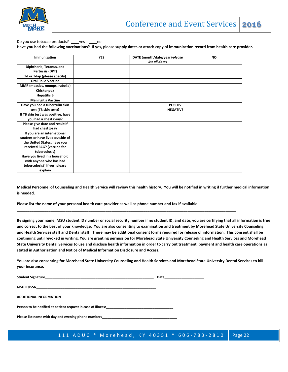

#### Do you use tobacco products? \_\_\_\_yes \_\_\_\_no **Have you had the following vaccinations? If yes, please supply dates or attach copy of immunization record from health care provider.**

| Immunization                       | <b>YES</b> | DATE (month/date/year)-please<br>list all dates | <b>NO</b> |
|------------------------------------|------------|-------------------------------------------------|-----------|
| Diphtheria, Tetanus, and           |            |                                                 |           |
| Pertussis (DPT)                    |            |                                                 |           |
| Td or Tdap (please specify)        |            |                                                 |           |
| <b>Oral Polio Vaccine</b>          |            |                                                 |           |
| MMR (measles, mumps, rubella)      |            |                                                 |           |
| Chickenpox                         |            |                                                 |           |
| <b>Hepatitis B</b>                 |            |                                                 |           |
| <b>Meningitis Vaccine</b>          |            |                                                 |           |
| Have you had a tuberculin skin     |            | <b>POSITIVE</b>                                 |           |
| test (TB skin test)?               |            | <b>NEGATIVE</b>                                 |           |
| If TB skin test was positive, have |            |                                                 |           |
| you had a chest x-ray?             |            |                                                 |           |
| Please give date and result if     |            |                                                 |           |
| had chest x-ray                    |            |                                                 |           |
| If you are an international        |            |                                                 |           |
| student or have lived outside of   |            |                                                 |           |
| the United States, have you        |            |                                                 |           |
| received BCG? (vaccine for         |            |                                                 |           |
| tuberculosis)                      |            |                                                 |           |
| Have you lived in a household      |            |                                                 |           |
| with anyone who has had            |            |                                                 |           |
| tuberculosis? If yes, please       |            |                                                 |           |
| explain                            |            |                                                 |           |

**Medical Personnel of Counseling and Health Service will review this health history. You will be notified in writing if further medical information is needed.**

**Please list the name of your personal health care provider as well as phone number and fax if available** 

**\_\_\_\_\_\_\_\_\_\_\_\_\_\_\_\_\_\_\_\_\_\_\_\_\_\_\_\_\_\_\_\_\_\_\_\_\_\_\_\_\_\_\_\_\_\_\_\_\_\_\_\_\_\_\_\_\_\_\_\_\_\_\_\_\_\_\_\_\_\_\_\_\_\_\_\_\_\_\_\_\_\_\_\_\_\_\_\_\_\_\_\_\_\_\_\_\_\_\_\_\_\_\_\_**

**By signing your name, MSU student ID number or social security number if no student ID, and date, you are certifying that all information is true and correct to the best of your knowledge. You are also consenting to examination and treatment by Morehead State University Counseling and Health Services staff and Dental staff. There may be additional consent forms required for release of information. This consent shall be continuing until revoked in writing. You are granting permission for Morehead State University Counseling and Health Services and Morehead State University Dental Services to use and disclose health information in order to carry out treatment, payment and health care operations as stated in Authorization and Notice of Medical Information Disclosure and Access.** 

**You are also consenting for Morehead State University Counseling and Health Services and Morehead State University Dental Services to bill your insurance.**

**Student Signature** 

**MSU ID/SSN\_\_\_\_\_\_\_\_\_\_\_\_\_\_\_\_\_\_\_\_\_\_\_\_\_\_\_\_\_\_\_\_\_\_\_\_\_\_\_\_\_\_\_\_\_\_\_\_\_\_\_\_\_\_\_\_\_\_\_\_\_\_\_\_**

**ADDITIONAL INFORMATION**

Person to be notified at patient request in case of illness:\_\_\_

Please list name with day and evening phone numbers\_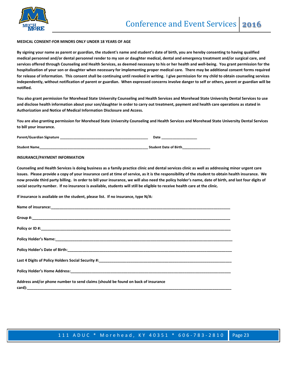

#### **MEDICAL CONSENT-FOR MINORS ONLY UNDER 18 YEARS OF AGE**

**By signing your name as parent or guardian, the student's name and student's date of birth, you are hereby consenting to having qualified medical personnel and/or dental personnel render to my son or daughter medical, dental and emergency treatment and/or surgical care, and services offered through Counseling and Health Services, as deemed necessary to his or her health and well-being. You grant permission for the hospitalization of your son or daughter when necessary for implementing proper medical care. There may be additional consent forms required for release of information. This consent shall be continuing until revoked in writing. I give permission for my child to obtain counseling services independently, without notification of parent or guardian. When expressed concerns involve danger to self or others, parent or guardian will be notified.**

**You also grant permission for Morehead State University Counseling and Health Services and Morehead State University Dental Services to use and disclose health information about your son/daughter in order to carry out treatment, payment and health care operations as stated in Authorization and Notice of Medical Information Disclosure and Access.** 

**You are also granting permission for Morehead State University Counseling and Health Services and Morehead State University Dental Services to bill your insurance.**

| Parent/Guardian Signature | Date |
|---------------------------|------|
|                           |      |

**Student Name\_\_\_\_\_\_\_\_\_\_\_\_\_\_\_\_\_\_\_\_\_\_\_\_\_\_\_\_\_\_\_\_\_\_\_\_\_\_\_\_\_\_\_\_\_\_\_\_\_\_\_\_\_\_\_\_\_\_ Student Date of Birth\_\_\_\_\_\_\_\_\_\_\_\_\_\_\_**

#### **INSURANCE/PAYMENT INFORMATION**

**Counseling and Health Services is doing business as a family practice clinic and dental services clinic as well as addressing minor urgent care issues. Please provide a copy of your insurance card at time of service, as it is the responsibility of the student to obtain health insurance. We now provide third party billing. In order to bill your insurance, we will also need the policy holder's name, date of birth, and last four digits of social security number. If no insurance is available, students will still be eligible to receive health care at the clinic.**

**If insurance is available on the student, please list. If no insurance, type N/A:**

| Address and/or phone number to send claims (should be found on back of insurance |
|----------------------------------------------------------------------------------|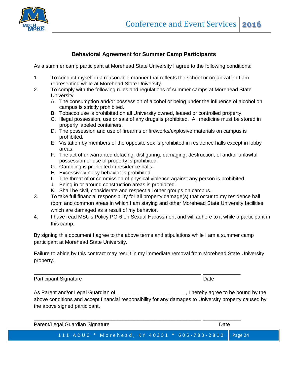

#### **Behavioral Agreement for Summer Camp Participants**

As a summer camp participant at Morehead State University I agree to the following conditions:

- 1. To conduct myself in a reasonable manner that reflects the school or organization I am representing while at Morehead State University.
- 2. To comply with the following rules and regulations of summer camps at Morehead State University.
	- A. The consumption and/or possession of alcohol or being under the influence of alcohol on campus is strictly prohibited.
	- B. Tobacco use is prohibited on all University owned, leased or controlled property.
	- C. Illegal possession, use or sale of any drugs is prohibited. All medicine must be stored in properly labeled containers.
	- D. The possession and use of firearms or fireworks/explosive materials on campus is prohibited.
	- E. Visitation by members of the opposite sex is prohibited in residence halls except in lobby areas.
	- F. The act of unwarranted defacing, disfiguring, damaging, destruction, of and/or unlawful possession or use of property is prohibited.
	- G. Gambling is prohibited in residence halls.
	- H. Excessively noisy behavior is prohibited.
	- I. The threat of or commission of physical violence against any person is prohibited.
	- J. Being in or around construction areas is prohibited.
	- K. Shall be civil, considerate and respect all other groups on campus.
- 3. To take full financial responsibility for all property damage(s) that occur to my residence hall room and common areas in which I am staying and other Morehead State University facilities which are damaged as a result of my behavior.
- 4. I have read MSU's Policy PG-6 on Sexual Harassment and will adhere to it while a participant in this camp.

By signing this document I agree to the above terms and stipulations while I am a summer camp participant at Morehead State University.

\_\_\_\_\_\_\_\_\_\_\_\_\_\_\_\_\_\_\_\_\_\_\_\_\_\_\_\_\_\_\_\_\_\_\_\_\_\_\_\_\_\_\_\_\_\_\_\_\_\_\_\_\_\_\_\_\_\_ \_\_\_\_\_\_\_\_\_\_\_\_\_

Failure to abide by this contract may result in my immediate removal from Morehead State University property.

Participant Signature **Date** Date **Date** Date **Date** 

As Parent and/or Legal Guardian of \_\_\_\_\_\_\_\_\_\_\_\_\_\_\_\_\_\_\_\_\_\_\_\_\_\_\_, I hereby agree to be bound by the above conditions and accept financial responsibility for any damages to University property caused by the above signed participant.

111 ADUC \* Morehead, KY 40351 \* 606 - 783 - 2810 Page 24 \_\_\_\_\_\_\_\_\_\_\_\_\_\_\_\_\_\_\_\_\_\_\_\_\_\_\_\_\_\_\_\_\_\_\_\_\_\_\_\_\_\_\_\_\_\_\_\_\_\_\_\_\_\_\_\_\_\_ \_\_\_\_\_\_\_\_\_\_\_\_\_ Parent/Legal Guardian Signature **Date of Australian Struck and Australian** Date Date